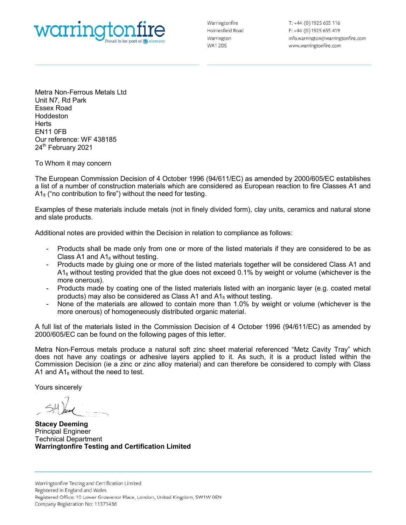

Metra Non-Ferrous Metals Ltd WOITING to be part of @element<br>
Metra Non-Ferrous Metals Ltd<br>
Unit N7, Rd Park<br>
Essex Road<br>
Horddeston<br>
Henris Curreference: WF 438185 Essex Road Hoddeston **Herts** EN11 0FB Our reference: WF 438185 24<sup>th</sup> February 2021

To Whom it may concern

To HAT INCREASE THE ENDIRIES TO MANUSCOND THE COMMISSION OF ENRA CONSIDERATION CONTROLL COMPRESS THE UNITED THAT COMPRESS THE UNITED THAT COMPRESS THE UNITED THAT COMPRESS THE UNITED THAT COMPRESS THE UNITED THAT COMPRESS and the a number of a number of a number of a number of a number of a number of a number of a number of a number of a number of a number of a number of a number of a number of a number of a number of a number of a number o WOITTING **MANUS (AND THE CONSECT ON A FOR AN A** Free 44 (0) 1925 655 419<br>
Werington the need to be best of **6** element<br>
Metra Non-Ferrous Metals Ltd<br>
Unit N7, Rd Park<br>
Essex Road<br>
Herts<br>
Curreference: WF 438185<br>
Our refere

Examples of these materials include metals (not in finely divided form), clay units, ceramics and natural stone and slate products.

Additional notes are provided within the Decision in relation to compliance as follows:

- 
- ra Non-Ferrous Metals Ltd<br>
RINT, Rd Park<br>
Ideston<br>
Hoten it may concern<br>
Whom it may comes<br>
Technam Commission Decision of 4 October 1996 (94/611/EC) as amended by 2000/605/EC establishes<br>
European Commission Decision of 4 lon-Ferrous Metals Ltd<br>
Rd Park<br>
Rd Park<br>
FB<br>
FB<br>
Ference: WF 438185<br>
FFB<br>
Ference: WF 438185<br>
oruary 2021<br>
Im it may concern<br>
propean Commission Decision of 4 October 1996 (94/611/EC) as amended by<br>
a number of construct ra Non-Ferrous Metals Ltd<br>
N.N., Rd Park<br>
Stephan it may concern<br>
Mom it may concern<br>
Mom it may concern<br>
Mom it may concern<br>
Horse European Commission Decision of 4 October 1996 (94/611/EC) as amended by 2000/605/EC estab  $A_1$  without testing provided that the glue does not exceed 0.1% by weight or volume (whichever is the more onerous). designed that the distribution metals one of the listed materials in the more of the more of the number of the analytic materials with an individual materials with an inorganic from a material of the construction metals wi FB<br>promoc: WF 438185<br>promary 2021<br>multimary concern<br>mean Commission Decision of 4 October 1996 (94/611/EC) as amended by 2000/605/EC establishes<br>a number of construction materials which are considered as European reaction 11 UHS<br>
reference: WF 438185<br>
February 2021<br>
Mhom it may concern<br>
European Commission Decision of 4 October 1996 (94/611/EC) as amended by 2000/605/EC establishes<br>
the fa arumber of construction materials which are conside
- 
- more onerous) of homogeneously distributed organic material.

To Whom it may concern<br>
The European Commission Decision of 4 October 1996 (94/611/EC) as amended by 2000/605/EC establishes<br>
alist of a number of construction materials which are considered as European reaction to fire Cl To Whom it may concern<br>
The European Commission Decision of 4 October 1996 (94/611/EC) as amended by 2000/605/EC establishes<br>
The European Commission Decision of 4 October 1996 (94/611/EC) as amended by 2000/605/EC establi Metra Non-Ferrous metals produce a natural soft zinc sheet material referenced "Metz Cavity Tray" which does not have any coatings or adhesive layers applied to it. As such, it is a product listed within the<br>Commission Decision (ie a zinc or zinc alloy material) and can therefore be considered to comply with Class A1<sub>6</sub> ("no contribution to fire") without the need for testing.<br>
Examples of these materials include metals (not in finely divided form), clay units, ceramics and natural stone<br>
and state products.<br>
Additional notes are p A1 and  $A1_{\text{fl}}$  without the need to test. Trocates make the plus does not inverting and Contributed Cases and the plus does not exceed 0.1% by weight or volume (whichemore onerous).<br>
A f<sub>l</sub> without testing provided that the glue does not exceed 0.1% by weight or v

Yours sincerely

Stacey Deeming Principal Engineer Warringtonfire Testing and Certification Limited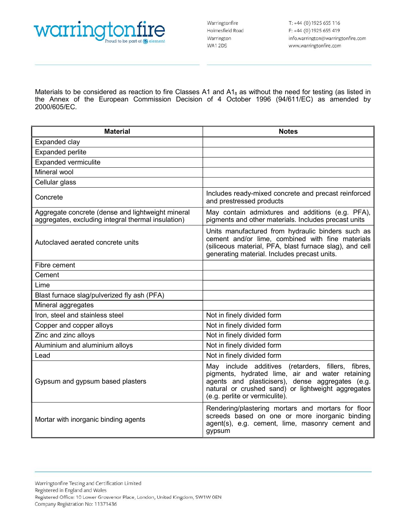

**Materials to be considered as reaction to fire Classes A1 and A1<sub>n</sub> as without the need for testing (as listed in the Annex of the European Commission Decision of 4 October 1996 (94/611/EC) as amended by Material Motes** WOITING COMPUTE:
Material<br>
Materials to be considered as reaction to fire Classes A1 and A1<sub>0</sub> as without the need for testing (as listed in<br>
Materials to be considered as reaction to fire Classes A1 and A1<sub>0</sub> as without t Materials to be considered as reaction to fire Classes A1 and  $A1<sub>fl</sub>$  as without the need for testing (as listed in the Annex of the European Commission Decision of 4 October 1996 (94/611/EC) as amended by 2000/605/EC

| warringtonfire<br>oud to be part of $\bigodot$ element                                                                                                                                                                         | Warringtonfire<br>Holmesfield Road<br>Warrington<br>WA12DS                                                                                                                                                                                         | T: +44 (0) 1925 655 116<br>F: +44 (0) 1925 655 419<br>info.warrington@warringtonfire.com<br>www.warringtonfire.com |  |
|--------------------------------------------------------------------------------------------------------------------------------------------------------------------------------------------------------------------------------|----------------------------------------------------------------------------------------------------------------------------------------------------------------------------------------------------------------------------------------------------|--------------------------------------------------------------------------------------------------------------------|--|
| Materials to be considered as reaction to fire Classes A1 and $A1f$ as without the need for testing (as listed in<br>the Annex of the European Commission Decision of 4 October 1996 (94/611/EC) as amended by<br>2000/605/EC. |                                                                                                                                                                                                                                                    |                                                                                                                    |  |
| <b>Material</b>                                                                                                                                                                                                                | <b>Notes</b>                                                                                                                                                                                                                                       |                                                                                                                    |  |
| Expanded clay                                                                                                                                                                                                                  |                                                                                                                                                                                                                                                    |                                                                                                                    |  |
| <b>Expanded perlite</b>                                                                                                                                                                                                        |                                                                                                                                                                                                                                                    |                                                                                                                    |  |
| <b>Expanded vermiculite</b>                                                                                                                                                                                                    |                                                                                                                                                                                                                                                    |                                                                                                                    |  |
| Mineral wool                                                                                                                                                                                                                   |                                                                                                                                                                                                                                                    |                                                                                                                    |  |
| Cellular glass                                                                                                                                                                                                                 |                                                                                                                                                                                                                                                    |                                                                                                                    |  |
| Concrete                                                                                                                                                                                                                       | Includes ready-mixed concrete and precast reinforced<br>and prestressed products                                                                                                                                                                   |                                                                                                                    |  |
| Aggregate concrete (dense and lightweight mineral<br>aggregates, excluding integral thermal insulation)                                                                                                                        | May contain admixtures and additions (e.g. PFA),<br>pigments and other materials. Includes precast units                                                                                                                                           |                                                                                                                    |  |
| Autoclaved aerated concrete units                                                                                                                                                                                              | Units manufactured from hydraulic binders such as<br>cement and/or lime, combined with fine materials<br>(siliceous material, PFA, blast furnace slag), and cell<br>generating material. Includes precast units.                                   |                                                                                                                    |  |
| Fibre cement                                                                                                                                                                                                                   |                                                                                                                                                                                                                                                    |                                                                                                                    |  |
| Cement                                                                                                                                                                                                                         |                                                                                                                                                                                                                                                    |                                                                                                                    |  |
| Lime                                                                                                                                                                                                                           |                                                                                                                                                                                                                                                    |                                                                                                                    |  |
| Blast furnace slag/pulverized fly ash (PFA)                                                                                                                                                                                    |                                                                                                                                                                                                                                                    |                                                                                                                    |  |
| Mineral aggregates                                                                                                                                                                                                             |                                                                                                                                                                                                                                                    |                                                                                                                    |  |
| Iron, steel and stainless steel                                                                                                                                                                                                | Not in finely divided form                                                                                                                                                                                                                         |                                                                                                                    |  |
| Copper and copper alloys                                                                                                                                                                                                       | Not in finely divided form                                                                                                                                                                                                                         |                                                                                                                    |  |
| Zinc and zinc alloys                                                                                                                                                                                                           | Not in finely divided form                                                                                                                                                                                                                         |                                                                                                                    |  |
| Aluminium and aluminium alloys                                                                                                                                                                                                 | Not in finely divided form                                                                                                                                                                                                                         |                                                                                                                    |  |
| Lead                                                                                                                                                                                                                           | Not in finely divided form                                                                                                                                                                                                                         |                                                                                                                    |  |
| Gypsum and gypsum based plasters                                                                                                                                                                                               | May include additives (retarders, fillers, fibres,<br>pigments, hydrated lime, air and water retaining<br>agents and plasticisers), dense aggregates (e.g.<br>natural or crushed sand) or lightweight aggregates<br>(e.g. perlite or vermiculite). |                                                                                                                    |  |
| Mortar with inorganic binding agents                                                                                                                                                                                           | Rendering/plastering mortars and mortars for floor<br>screeds based on one or more inorganic binding<br>agent(s), e.g. cement, lime, masonry cement and<br>gypsum                                                                                  |                                                                                                                    |  |